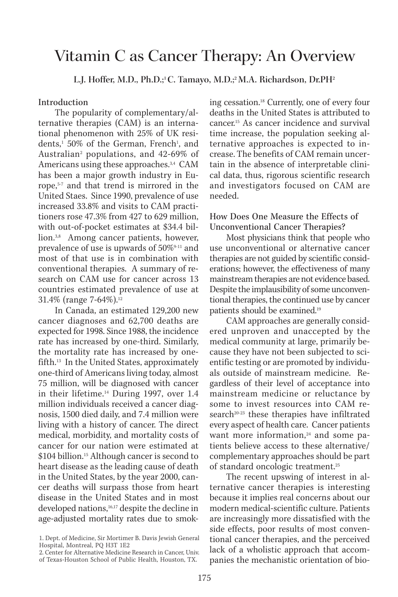# Vitamin C as Cancer Therapy: An Overview

L.J. Hoffer, M.D., Ph.D.;<sup>1</sup>C. Tamayo, M.D.;<sup>2</sup> M.A. Richardson, Dr.PH<sup>2</sup>

## Introduction

The popularity of complementary/alternative therapies (CAM) is an international phenomenon with 25% of UK residents,<sup>1</sup> 50% of the German, French<sup>1</sup>, and Australian2 populations, and 42-69% of Americans using these approaches.<sup>3,4</sup> CAM has been a major growth industry in Europe,5-7 and that trend is mirrored in the United Staes. Since 1990, prevalence of use increased 33.8% and visits to CAM practitioners rose 47.3% from 427 to 629 million, with out-of-pocket estimates at \$34.4 billion.3,8 Among cancer patients, however, prevalence of use is upwards of 50%<sup>9-11</sup> and most of that use is in combination with conventional therapies. A summary of research on CAM use for cancer across 13 countries estimated prevalence of use at 31.4% (range 7-64%).<sup>12</sup>

In Canada, an estimated 129,200 new cancer diagnoses and 62,700 deaths are expected for 1998. Since 1988, the incidence rate has increased by one-third. Similarly, the mortality rate has increased by onefifth.13 In the United States, approximately one-third of Americans living today, almost 75 million, will be diagnosed with cancer in their lifetime.14 During 1997, over 1.4 million individuals received a cancer diagnosis, 1500 died daily, and 7.4 million were living with a history of cancer. The direct medical, morbidity, and mortality costs of cancer for our nation were estimated at \$104 billion.<sup>15</sup> Although cancer is second to heart disease as the leading cause of death in the United States, by the year 2000, cancer deaths will surpass those from heart disease in the United States and in most developed nations,<sup>16,17</sup> despite the decline in age-adjusted mortality rates due to smoking cessation.18 Currently, one of every four deaths in the United States is attributed to cancer.15 As cancer incidence and survival time increase, the population seeking alternative approaches is expected to increase. The benefits of CAM remain uncertain in the absence of interpretable clinical data, thus, rigorous scientific research and investigators focused on CAM are needed.

How Does One Measure the Effects of Unconventional Cancer Therapies?

Most physicians think that people who use unconventional or alternative cancer therapies are not guided by scientific considerations; however, the effectiveness of many mainstream therapies are not evidence based. Despite the implausibility of some unconventional therapies, the continued use by cancer patients should be examined.19

CAM approaches are generally considered unproven and unaccepted by the medical community at large, primarily because they have not been subjected to scientific testing or are promoted by individuals outside of mainstream medicine. Regardless of their level of acceptance into mainstream medicine or reluctance by some to invest resources into CAM research<sup>20-23</sup> these therapies have infiltrated every aspect of health care. Cancer patients want more information,<sup>24</sup> and some patients believe access to these alternative/ complementary approaches should be part of standard oncologic treatment.25

The recent upswing of interest in alternative cancer therapies is interesting because it implies real concerns about our modern medical-scientific culture. Patients are increasingly more dissatisfied with the side effects, poor results of most conventional cancer therapies, and the perceived lack of a wholistic approach that accompanies the mechanistic orientation of bio-

<sup>1.</sup> Dept. of Medicine, Sir Mortimer B. Davis Jewish General Hospital, Montreal, PQ H3T 1E2

<sup>2.</sup> Center for Alternative Medicine Research in Cancer, Univ. of Texas-Houston School of Public Health, Houston, TX.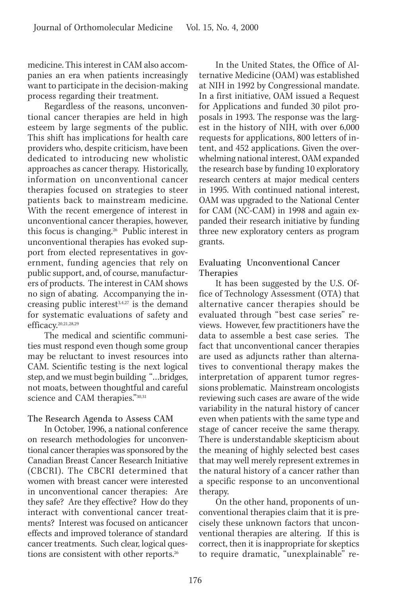medicine. This interest in CAM also accompanies an era when patients increasingly want to participate in the decision-making process regarding their treatment.

Regardless of the reasons, unconventional cancer therapies are held in high esteem by large segments of the public. This shift has implications for health care providers who, despite criticism, have been dedicated to introducing new wholistic approaches as cancer therapy. Historically, information on unconventional cancer therapies focused on strategies to steer patients back to mainstream medicine. With the recent emergence of interest in unconventional cancer therapies, however, this focus is changing.26 Public interest in unconventional therapies has evoked support from elected representatives in government, funding agencies that rely on public support, and, of course, manufacturers of products. The interest in CAM shows no sign of abating. Accompanying the increasing public interest $3,4,27$  is the demand for systematic evaluations of safety and efficacy.<sup>20,21,28,29</sup>

The medical and scientific communities must respond even though some group may be reluctant to invest resources into CAM. Scientific testing is the next logical step, and we must begin building "…bridges, not moats, between thoughtful and careful science and CAM therapies."30,31

## The Research Agenda to Assess CAM

In October, 1996, a national conference on research methodologies for unconventional cancer therapies was sponsored by the Canadian Breast Cancer Research Initiative (CBCRI). The CBCRI determined that women with breast cancer were interested in unconventional cancer therapies: Are they safe? Are they effective? How do they interact with conventional cancer treatments? Interest was focused on anticancer effects and improved tolerance of standard cancer treatments. Such clear, logical questions are consistent with other reports.<sup>26</sup>

In the United States, the Office of Alternative Medicine (OAM) was established at NIH in 1992 by Congressional mandate. In a first initiative, OAM issued a Request for Applications and funded 30 pilot proposals in 1993. The response was the largest in the history of NIH, with over 6,000 requests for applications, 800 letters of intent, and 452 applications. Given the overwhelming national interest, OAM expanded the research base by funding 10 exploratory research centers at major medical centers in 1995. With continued national interest, OAM was upgraded to the National Center for CAM (NC-CAM) in 1998 and again expanded their research initiative by funding three new exploratory centers as program grants.

## Evaluating Unconventional Cancer Therapies

It has been suggested by the U.S. Office of Technology Assessment (OTA) that alternative cancer therapies should be evaluated through "best case series" reviews. However, few practitioners have the data to assemble a best case series. The fact that unconventional cancer therapies are used as adjuncts rather than alternatives to conventional therapy makes the interpretation of apparent tumor regressions problematic. Mainstream oncologists reviewing such cases are aware of the wide variability in the natural history of cancer even when patients with the same type and stage of cancer receive the same therapy. There is understandable skepticism about the meaning of highly selected best cases that may well merely represent extremes in the natural history of a cancer rather than a specific response to an unconventional therapy.

On the other hand, proponents of unconventional therapies claim that it is precisely these unknown factors that unconventional therapies are altering. If this is correct, then it is inappropriate for skeptics to require dramatic, "unexplainable" re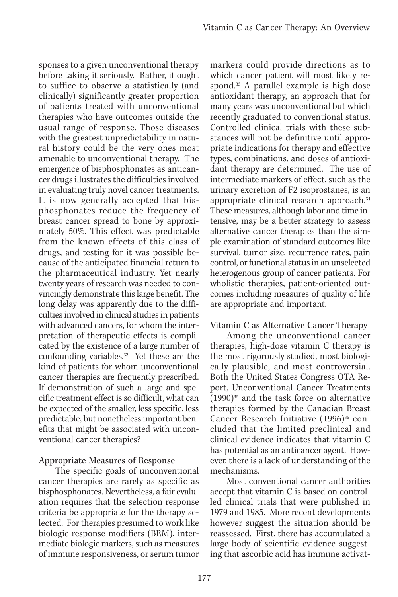sponses to a given unconventional therapy before taking it seriously. Rather, it ought to suffice to observe a statistically (and clinically) significantly greater proportion of patients treated with unconventional therapies who have outcomes outside the usual range of response. Those diseases with the greatest unpredictability in natural history could be the very ones most amenable to unconventional therapy. The emergence of bisphosphonates as anticancer drugs illustrates the difficulties involved in evaluating truly novel cancer treatments. It is now generally accepted that bisphosphonates reduce the frequency of breast cancer spread to bone by approximately 50%. This effect was predictable from the known effects of this class of drugs, and testing for it was possible because of the anticipated financial return to the pharmaceutical industry. Yet nearly twenty years of research was needed to convincingly demonstrate this large benefit. The long delay was apparently due to the difficulties involved in clinical studies in patients with advanced cancers, for whom the interpretation of therapeutic effects is complicated by the existence of a large number of confounding variables.32 Yet these are the kind of patients for whom unconventional cancer therapies are frequently prescribed. If demonstration of such a large and specific treatment effect is so difficult, what can be expected of the smaller, less specific, less predictable, but nonetheless important benefits that might be associated with unconventional cancer therapies?

## Appropriate Measures of Response

The specific goals of unconventional cancer therapies are rarely as specific as bisphosphonates. Nevertheless, a fair evaluation requires that the selection response criteria be appropriate for the therapy selected. For therapies presumed to work like biologic response modifiers (BRM), intermediate biologic markers, such as measures of immune responsiveness, or serum tumor

markers could provide directions as to which cancer patient will most likely respond.<sup>33</sup> A parallel example is high-dose antioxidant therapy, an approach that for many years was unconventional but which recently graduated to conventional status. Controlled clinical trials with these substances will not be definitive until appropriate indications for therapy and effective types, combinations, and doses of antioxidant therapy are determined. The use of intermediate markers of effect, such as the urinary excretion of F2 isoprostanes, is an appropriate clinical research approach.34 These measures, although labor and time intensive, may be a better strategy to assess alternative cancer therapies than the simple examination of standard outcomes like survival, tumor size, recurrence rates, pain control, or functional status in an unselected heterogenous group of cancer patients. For wholistic therapies, patient-oriented outcomes including measures of quality of life are appropriate and important.

## Vitamin C as Alternative Cancer Therapy

Among the unconventional cancer therapies, high-dose vitamin C therapy is the most rigorously studied, most biologically plausible, and most controversial. Both the United States Congress OTA Report, Unconventional Cancer Treatments  $(1990)$ <sup>35</sup> and the task force on alternative therapies formed by the Canadian Breast Cancer Research Initiative (1996)<sup>36</sup> concluded that the limited preclinical and clinical evidence indicates that vitamin C has potential as an anticancer agent. However, there is a lack of understanding of the mechanisms.

Most conventional cancer authorities accept that vitamin C is based on controlled clinical trials that were published in 1979 and 1985. More recent developments however suggest the situation should be reassessed. First, there has accumulated a large body of scientific evidence suggesting that ascorbic acid has immune activat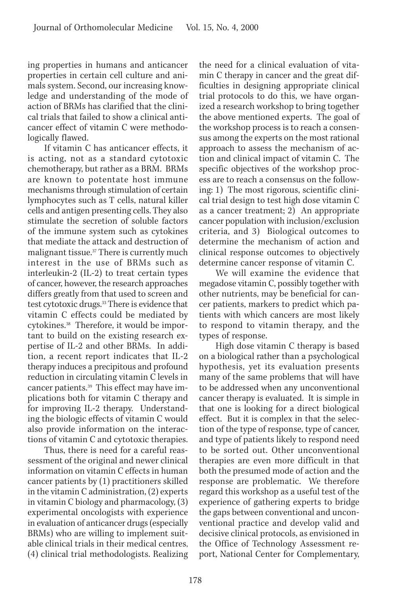ing properties in humans and anticancer properties in certain cell culture and animals system. Second, our increasing knowledge and understanding of the mode of action of BRMs has clarified that the clinical trials that failed to show a clinical anticancer effect of vitamin C were methodologically flawed.

If vitamin C has anticancer effects, it is acting, not as a standard cytotoxic chemotherapy, but rather as a BRM. BRMs are known to potentate host immune mechanisms through stimulation of certain lymphocytes such as T cells, natural killer cells and antigen presenting cells. They also stimulate the secretion of soluble factors of the immune system such as cytokines that mediate the attack and destruction of malignant tissue.37 There is currently much interest in the use of BRMs such as interleukin-2 (IL-2) to treat certain types of cancer, however, the research approaches differs greatly from that used to screen and test cytotoxic drugs.33 There is evidence that vitamin C effects could be mediated by cytokines.<sup>38</sup> Therefore, it would be important to build on the existing research expertise of IL-2 and other BRMs. In addition, a recent report indicates that IL-2 therapy induces a precipitous and profound reduction in circulating vitamin C levels in cancer patients.39 This effect may have implications both for vitamin C therapy and for improving IL-2 therapy. Understanding the biologic effects of vitamin C would also provide information on the interactions of vitamin C and cytotoxic therapies.

Thus, there is need for a careful reassessment of the original and newer clinical information on vitamin C effects in human cancer patients by (1) practitioners skilled in the vitamin C administration, (2) experts in vitamin C biology and pharmacology, (3) experimental oncologists with experience in evaluation of anticancer drugs (especially BRMs) who are willing to implement suitable clinical trials in their medical centres, (4) clinical trial methodologists. Realizing the need for a clinical evaluation of vitamin C therapy in cancer and the great difficulties in designing appropriate clinical trial protocols to do this, we have organized a research workshop to bring together the above mentioned experts. The goal of the workshop process is to reach a consensus among the experts on the most rational approach to assess the mechanism of action and clinical impact of vitamin C. The specific objectives of the workshop process are to reach a consensus on the following: 1) The most rigorous, scientific clinical trial design to test high dose vitamin C as a cancer treatment; 2) An appropriate cancer population with inclusion/exclusion criteria, and 3) Biological outcomes to determine the mechanism of action and clinical response outcomes to objectively determine cancer response of vitamin C.

We will examine the evidence that megadose vitamin C, possibly together with other nutrients, may be beneficial for cancer patients, markers to predict which patients with which cancers are most likely to respond to vitamin therapy, and the types of response.

High dose vitamin C therapy is based on a biological rather than a psychological hypothesis, yet its evaluation presents many of the same problems that will have to be addressed when any unconventional cancer therapy is evaluated. It is simple in that one is looking for a direct biological effect. But it is complex in that the selection of the type of response, type of cancer, and type of patients likely to respond need to be sorted out. Other unconventional therapies are even more difficult in that both the presumed mode of action and the response are problematic. We therefore regard this workshop as a useful test of the experience of gathering experts to bridge the gaps between conventional and unconventional practice and develop valid and decisive clinical protocols, as envisioned in the Office of Technology Assessment report, National Center for Complementary,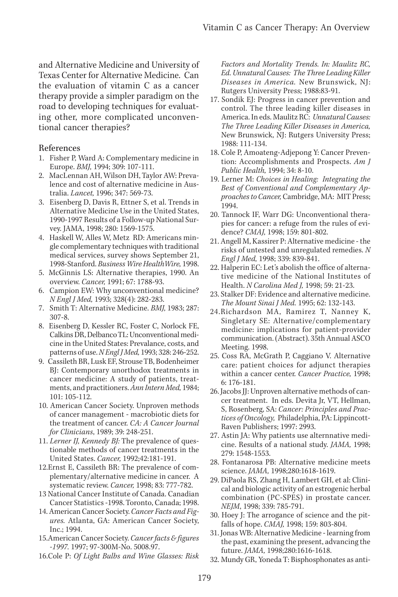and Alternative Medicine and University of Texas Center for Alternative Medicine. Can the evaluation of vitamin C as a cancer therapy provide a simpler paradigm on the road to developing techniques for evaluating other, more complicated unconventional cancer therapies?

#### References

- 1. Fisher P, Ward A: Complementary medicine in Europe. *BMJ,* 1994; 309: 107-111.
- 2. MacLennan AH, Wilson DH, Taylor AW: Prevalence and cost of alternative medicine in Australia. *Lancet,* 1996; 347: 569-73.
- 3. Eisenberg D, Davis R, Ettner S, et al. Trends in Alternative Medicine Use in the United States, 1990-1997 Results of a Follow-up National Survey. JAMA, 1998; 280: 1569-1575.
- 4. Haskell W, Alles W, Metz RD: Americans mingle complementary techniques with traditional medical services, survey shows September 21, 1998-Stanford. *Business Wire HealthWire,* 1998.
- 5. McGinnis LS: Alternative therapies, 1990. An overview. *Cancer,* 1991; 67: 1788-93.
- 6. Campion EW: Why unconventional medicine? *N Engl J Med,* 1993; 328(4): 282-283.
- 7. Smith T: Alternative Medicine. *BMJ,* 1983; 287: 307-8.
- 8. Eisenberg D, Kessler RC, Foster C, Norlock FE, Calkins DR, Delbanco TL: Unconventional medicine in the United States: Prevalance, costs, and patterns of use. *N Engl J Med,* 1993; 328: 246-252.
- 9. Cassileth BR, Lusk EF, Strouse TB, Bodenheimer BJ: Contemporary unorthodox treatments in cancer medicine: A study of patients, treatments, and practitioners. *Ann Intern Med,* 1984; 101: 105-112.
- 10. American Cancer Society. Unproven methods of cancer management - macrobiotic diets for the treatment of cancer. *CA: A Cancer Journal for Clinicians*, 1989; 39: 248-251.
- 11. *Lerner IJ, Kennedy BJ:* The prevalence of questionable methods of cancer treatments in the United States. *Cancer,* 1992;42:181-191.
- 12.Ernst E, Cassileth BR: The prevalence of complementary/alternative medicine in cancer. A systematic review. *Cancer,* 1998; 83: 777-782.
- 13 National Cancer Institute of Canada. Canadian Cancer Statistics -1998. Toronto, Canada; 1998.
- 14. American Cancer Society. *Cancer Facts and Figures.* Atlanta, GA: American Cancer Society, Inc.; 1994.
- 15.American Cancer Society. *Cancer facts & figures -1997.* 1997; 97-300M-No. 5008.97.
- 16.Cole P: *Of Light Bulbs and Wine Glasses: Risk*

*Factors and Mortality Trends. In: Maulitz RC, Ed. Unnatural Causes: The Three Leading Killer Diseases in America.* New Brunswick, NJ: Rutgers University Press; 1988:83-91.

- 17. Sondik EJ: Progress in cancer prevention and control. The three leading killer diseases in America. In eds. Maulitz RC: *Unnatural Causes: The Three Leading Killer Diseases in America,* New Brunswick, NJ: Rutgers University Press; 1988: 111-134.
- 18. Cole P, Amoateng-Adjepong Y: Cancer Prevention: Accomplishments and Prospects. *Am J Public Health,* 1994; 34: 8-10.
- 19. Lerner M: *Choices in Healing: Integrating the Best of Conventional and Complementary Approaches to Cancer,* Cambridge, MA: MIT Press; 1994.
- 20. Tannock IF, Warr DG: Unconventional therapies for cancer: a refuge from the rules of evidence? *CMAJ,* 1998; 159: 801-802.
- 21. Angell M, Kassirer P: Alternative medicine the risks of untested and unregulated remedies. *N Engl J Med,* 1998; 339: 839-841.
- 22. Halperin EC: Let's abolish the office of alternative medicine of the National Institutes of Health. *N Carolina Med J,* 1998; 59: 21-23.
- 23. Stalker DF: Evidence and alternative medicine. *The Mount Sinai J Med.* 1995; 62: 132-143.
- 24.Richardson MA, Ramirez T, Nanney K, Singletary SE: Alternative/complementary medicine: implications for patient-provider communication. (Abstract). 35th Annual ASCO Meeting. 1998.
- 25. Coss RA, McGrath P, Caggiano V. Alternative care: patient choices for adjunct therapies within a cancer center. *Cancer Practice,* 1998; 6: 176-181.
- 26. Jacobs JJ: Unproven alternative methods of cancer treatment. In eds. Devita Jr, VT, Hellman, S, Rosenberg, SA: *Cancer: Principles and Practices of Oncology,* Philadelphia, PA: Lippincott-Raven Publishers; 1997: 2993.
- 27. Astin JA: Why patients use alternnative medicine. Results of a national study. *JAMA,* 1998; 279: 1548-1553.
- 28. Fontanarosa PB: Alternative medicine meets science. *JAMA,* 1998;280:1618-1619.
- 29. DiPaola RS, Zhang H, Lambert GH, et al: Clinical and biologic activity of an estrogenic herbal combination (PC-SPES) in prostate cancer. *NEJM*, 1998; 339: 785-791.
- 30. Hoey J: The arrogance of science and the pitfalls of hope. *CMAJ,* 1998; 159: 803-804.
- 31. Jonas WB: Alternative Medicine learning from the past, examining the present, advancing the future. *JAMA,* 1998;280:1616-1618.
- 32. Mundy GR, Yoneda T: Bisphosphonates as anti-